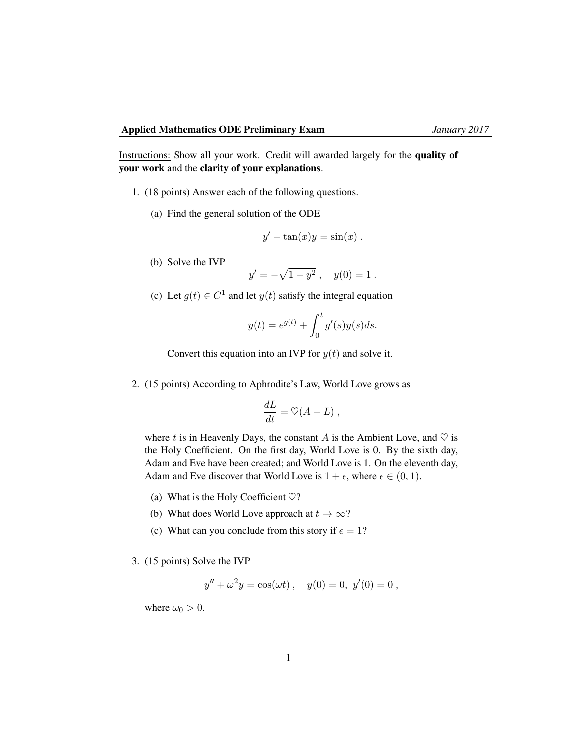Instructions: Show all your work. Credit will awarded largely for the quality of your work and the clarity of your explanations.

- 1. (18 points) Answer each of the following questions.
	- (a) Find the general solution of the ODE

$$
y' - \tan(x)y = \sin(x).
$$

(b) Solve the IVP

$$
y' = -\sqrt{1 - y^2}
$$
,  $y(0) = 1$ .

(c) Let  $g(t) \in C^1$  and let  $y(t)$  satisfy the integral equation

$$
y(t) = e^{g(t)} + \int_0^t g'(s)y(s)ds.
$$

Convert this equation into an IVP for  $y(t)$  and solve it.

2. (15 points) According to Aphrodite's Law, World Love grows as

$$
\frac{dL}{dt} = \heartsuit(A - L) ,
$$

where t is in Heavenly Days, the constant A is the Ambient Love, and  $\heartsuit$  is the Holy Coefficient. On the first day, World Love is 0. By the sixth day, Adam and Eve have been created; and World Love is 1. On the eleventh day, Adam and Eve discover that World Love is  $1 + \epsilon$ , where  $\epsilon \in (0, 1)$ .

- (a) What is the Holy Coefficient  $\heartsuit$ ?
- (b) What does World Love approach at  $t \to \infty$ ?
- (c) What can you conclude from this story if  $\epsilon = 1$ ?
- 3. (15 points) Solve the IVP

$$
y'' + \omega^2 y = \cos(\omega t) , \quad y(0) = 0, \ y'(0) = 0 ,
$$

where  $\omega_0 > 0$ .